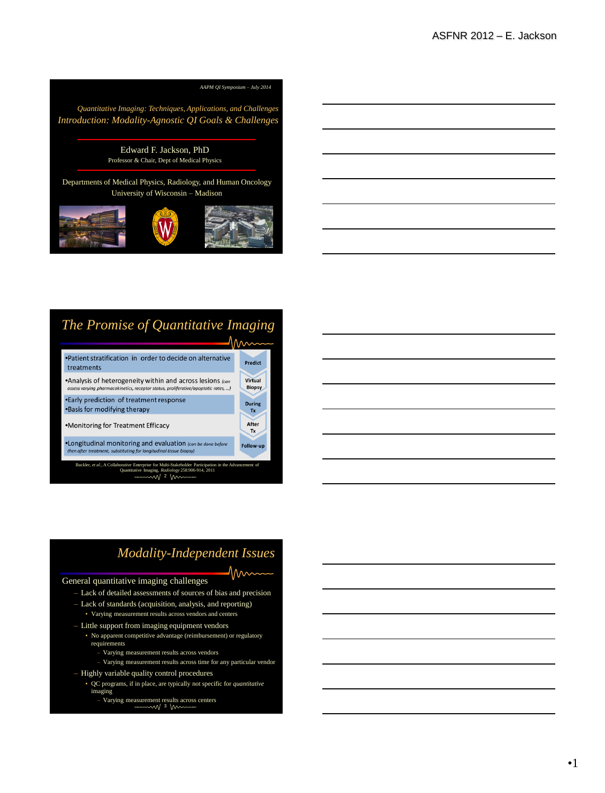

# *The Promise of Quantitative Imaging*



## *Modality-Independent Issues*

 $\gamma_{\text{max}}$ 

#### General quantitative imaging challenges

- Lack of detailed assessments of sources of bias and precision
- Lack of standards (acquisition, analysis, and reporting)
	- Varying measurement results across vendors and centers
- Little support from imaging equipment vendors
- No apparent competitive advantage (reimbursement) or regulatory requirements
	- Varying measurement results across vendors
- Varying measurement results across time for any particular vendor
- Highly variable quality control procedures
	- QC programs, if in place, are typically not specific for *quantitative* imaging
		- Varying measurement results across centers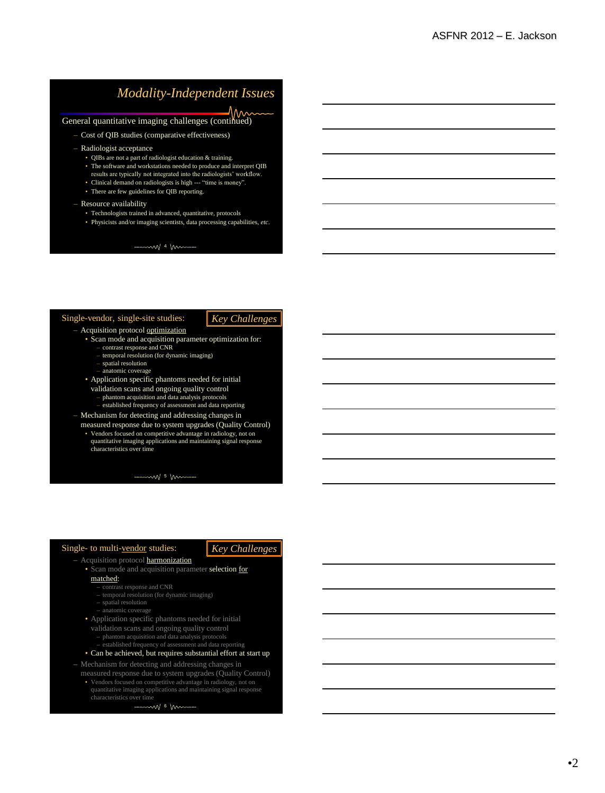# *Modality-Independent Issues*

General quantitative imaging challenges (continued)

- Cost of QIB studies (comparative effectiveness)
- Radiologist acceptance
	- QIBs are not a part of radiologist education & training.
	- The software and workstations needed to produce and interpret QIB results are typically not integrated into the radiologists' workflow.
	- Clinical demand on radiologists is high --- "time is money".
	- There are few guidelines for QIB reporting.
- Resource availability
	- Technologists trained in advanced, quantitative, protocols
	- Physicists and/or imaging scientists, data processing capabilities, *etc*.

 $-mw$  4 mm

#### Single-vendor, single-site studies:

### *Key Challenges*

- Acquisition protocol optimization
	- Scan mode and acquisition parameter optimization for:
		- contrast response and CNR temporal resolution (for dynamic imaging)
		-
		- spatial resolution anatomic coverage
	- Application specific phantoms needed for initial
	- validation scans and ongoing quality control
		- phantom acquisition and data analysis protocols
	- established frequency of assessment and data reporting
- Mechanism for detecting and addressing changes in measured response due to system upgrades (Quality Control)
	- Vendors focused on competitive advantage in radiology, not on quantitative imaging applications and maintaining signal response characteristics over time

 $-mw$  5 mm

#### Single- to multi-vendor studies:

#### *Key Challenges*

- Acquisition protocol **harmonization** 
	- Scan mode and acquisition parameter selection for matched:
		- contrast response and CNR
		- temporal resolution (for dynamic imaging)
		- spatial resolution
		- anatomic coverage
	- Application specific phantoms needed for initial
		- validation scans and ongoing quality control
		- phantom acquisition and data analysis protocols
	- established frequency of assessment and data reporting

#### • Can be achieved, but requires substantial effort at start up

- Mechanism for detecting and addressing changes in measured response due to system upgrades (Quality Control)
	- Vendors focused on competitive advantage in radiology, not on quantitative imaging applications and maintaining signal response characteristics over time

mw 6 km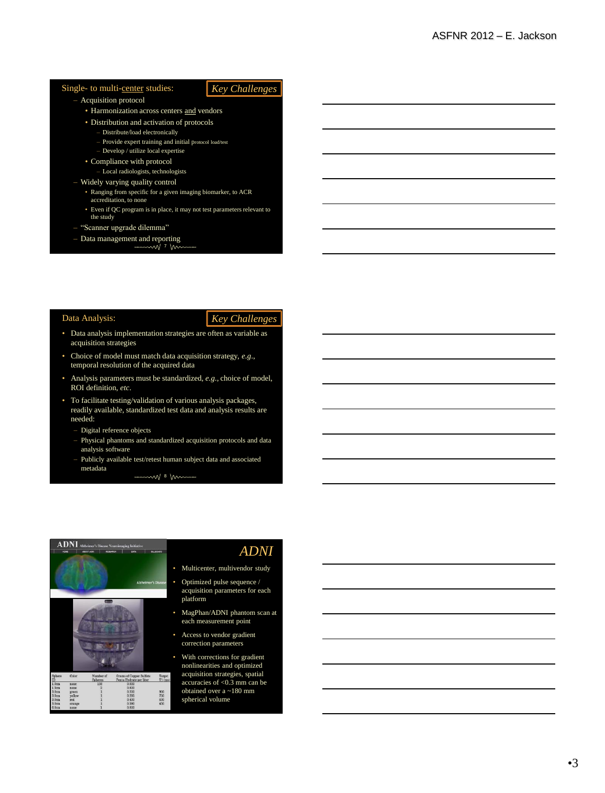#### Single- to multi-center studies:

#### – Acquisition protocol

#### • Harmonization across centers and vendors

- Distribution and activation of protocols
	- Distribute/load electronically
	- Provide expert training and initial protocol load/test
	- Develop / utilize local expertise
- Compliance with protocol
	- Local radiologists, technologists

#### – Widely varying quality control

- Ranging from specific for a given imaging biomarker, to ACR accreditation, to none
- Even if QC program is in place, it may not test parameters relevant to the study
- "Scanner upgrade dilemma"
- Data management and reporting

Data Analysis:

#### *Key Challenges*

*Key Challenges*

- Data analysis implementation strategies are often as variable as acquisition strategies
- Choice of model must match data acquisition strategy, *e.g*., temporal resolution of the acquired data
- Analysis parameters must be standardized, *e.g*., choice of model, ROI definition, *etc*.
- To facilitate testing/validation of various analysis packages, readily available, standardized test data and analysis results are needed:
	- Digital reference objects
	- Physical phantoms and standardized acquisition protocols and data analysis software
	- Publicly available test/retest human subject data and associated metadata

 $\sim$  8 km



### *ADNI*

- Multicenter, multivendor study
- Optimized pulse sequence / acquisition parameters for each platform
- MagPhan/ADNI phantom scan at each measurement point
- Access to vendor gradient correction parameters
- With corrections for gradient nonlinearities and optimized acquisition strategies, spatial accuracies of <0.3 mm can be obtained over a ~180 mm spherical volume